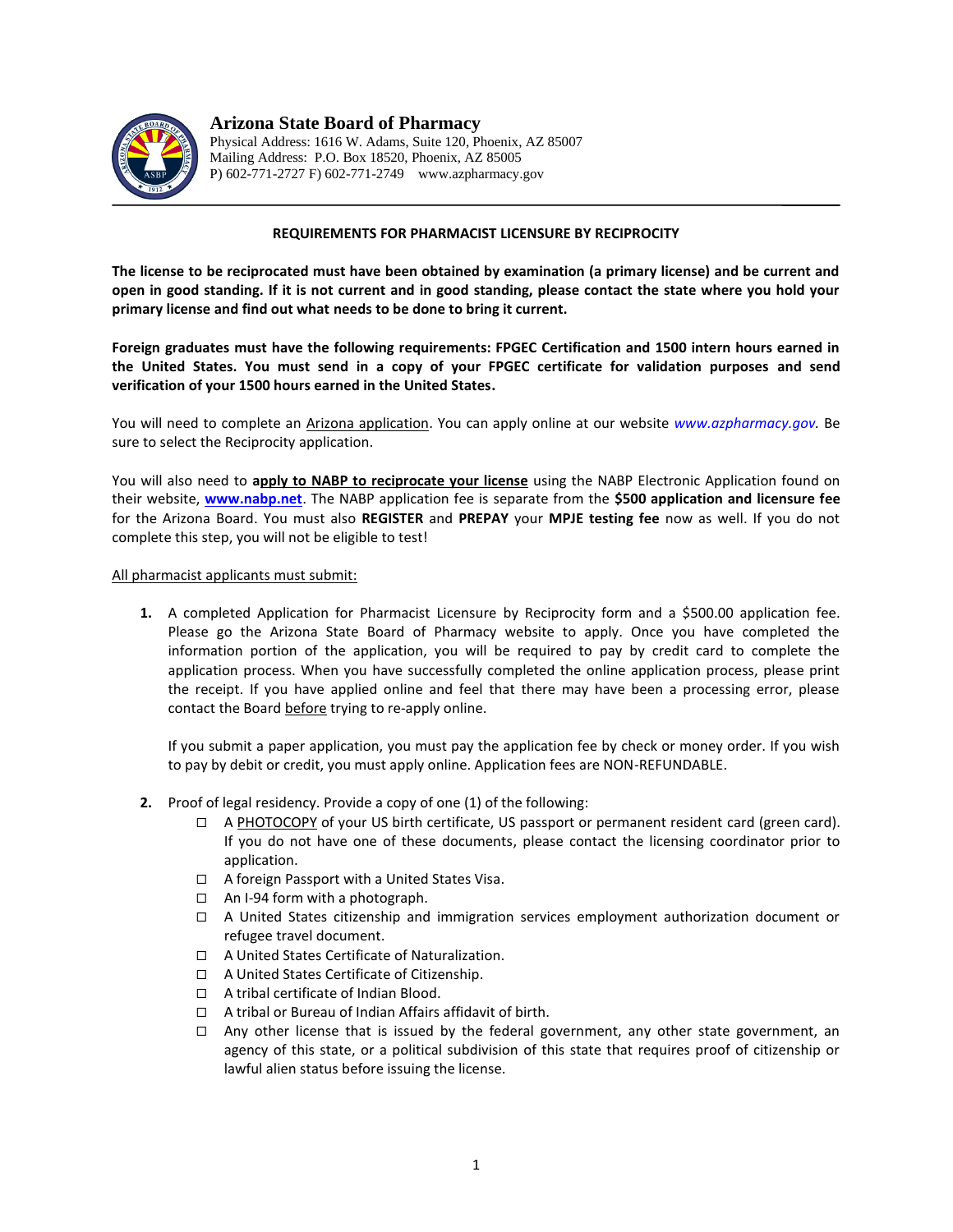

**Arizona State Board of Pharmacy** Physical Address: 1616 W. Adams, Suite 120, Phoenix, AZ 85007

Mailing Address: P.O. Box 18520, Phoenix, AZ 85005 P) 602-771-2727 F) 602-771-2749 www.azpharmacy.gov

## **REQUIREMENTS FOR PHARMACIST LICENSURE BY RECIPROCITY**

**The license to be reciprocated must have been obtained by examination (a primary license) and be current and open in good standing. If it is not current and in good standing, please contact the state where you hold your primary license and find out what needs to be done to bring it current.** 

**Foreign graduates must have the following requirements: FPGEC Certification and 1500 intern hours earned in the United States. You must send in a copy of your FPGEC certificate for validation purposes and send verification of your 1500 hours earned in the United States.** 

You will need to complete an Arizona application. You can apply online at our website *[www.azpharmacy.gov.](http://www.azpharmacy.gov/)* Be sure to select the Reciprocity application.

You will also need to **apply to NABP to reciprocate your license** using the NABP Electronic Application found on their website, **[www.nabp.net](file:///C:/Documents%20and%20Settings/Bev/Local%20Settings/Temporary%20Internet%20Files/Cindi)**. The NABP application fee is separate from the **\$500 application and licensure fee** for the Arizona Board. You must also **REGISTER** and **PREPAY** your **MPJE testing fee** now as well. If you do not complete this step, you will not be eligible to test!

All pharmacist applicants must submit:

**1.** A completed Application for Pharmacist Licensure by Reciprocity form and a \$500.00 application fee. Please go the Arizona State Board of Pharmacy website to apply. Once you have completed the information portion of the application, you will be required to pay by credit card to complete the application process. When you have successfully completed the online application process, please print the receipt. If you have applied online and feel that there may have been a processing error, please contact the Board before trying to re-apply online.

If you submit a paper application, you must pay the application fee by check or money order. If you wish to pay by debit or credit, you must apply online. Application fees are NON-REFUNDABLE.

- **2.** Proof of legal residency. Provide a copy of one (1) of the following:
	- A PHOTOCOPY of your US birth certificate, US passport or permanent resident card (green card). If you do not have one of these documents, please contact the licensing coordinator prior to application.
	- □ A foreign Passport with a United States Visa.
	- $\Box$  An I-94 form with a photograph.
	- A United States citizenship and immigration services employment authorization document or refugee travel document.
	- □ A United States Certificate of Naturalization.
	- □ A United States Certificate of Citizenship.
	- □ A tribal certificate of Indian Blood.
	- □ A tribal or Bureau of Indian Affairs affidavit of birth.
	- $\Box$  Any other license that is issued by the federal government, any other state government, an agency of this state, or a political subdivision of this state that requires proof of citizenship or lawful alien status before issuing the license.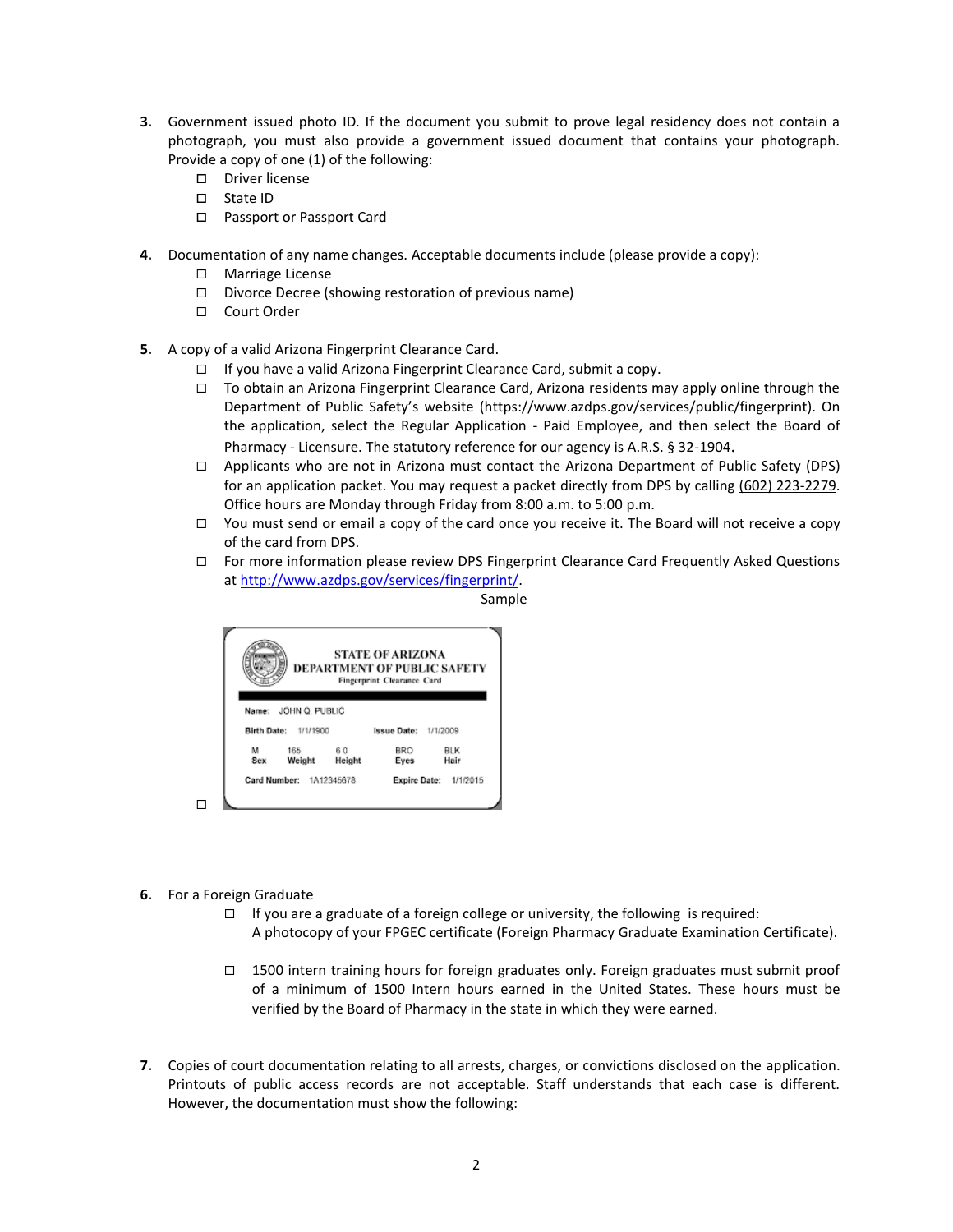- **3.** Government issued photo ID. If the document you submit to prove legal residency does not contain a photograph, you must also provide a government issued document that contains your photograph. Provide a copy of one (1) of the following:
	- D Driver license
	- □ State ID
	- □ Passport or Passport Card
- **4.** Documentation of any name changes. Acceptable documents include (please provide a copy):
	- □ Marriage License
	- $\square$  Divorce Decree (showing restoration of previous name)
	- □ Court Order
- **5.** A copy of a valid Arizona Fingerprint Clearance Card.
	- $\Box$  If you have a valid Arizona Fingerprint Clearance Card, submit a copy.
	- $\Box$  To obtain an Arizona Fingerprint Clearance Card, Arizona residents may apply online through the Department of Public Safety's website (https://www.azdps.gov/services/public/fingerprint). On the application, select the Regular Application - Paid Employee, and then select the Board of Pharmacy - Licensure. The statutory reference for our agency is A.R.S. § 32-1904.
	- $\Box$  Applicants who are not in Arizona must contact the Arizona Department of Public Safety (DPS) for an application packet. You may request a packet directly from DPS by calling (602) 223-2279. Office hours are Monday through Friday from 8:00 a.m. to 5:00 p.m.
	- $\Box$  You must send or email a copy of the card once you receive it. The Board will not receive a copy of the card from DPS.
	- $\Box$  For more information please review DPS Fingerprint Clearance Card Frequently Asked Questions a[t http://www.azdps.gov/services/fingerprint/.](http://www.azdps.gov/services/fingerprint/)





- **6.** For a Foreign Graduate
	- $\Box$  If you are a graduate of a foreign college or university, the following is required: A photocopy of your FPGEC certificate (Foreign Pharmacy Graduate Examination Certificate).
	- $\Box$  1500 intern training hours for foreign graduates only. Foreign graduates must submit proof of a minimum of 1500 Intern hours earned in the United States. These hours must be verified by the Board of Pharmacy in the state in which they were earned.
- **7.** Copies of court documentation relating to all arrests, charges, or convictions disclosed on the application. Printouts of public access records are not acceptable. Staff understands that each case is different. However, the documentation must show the following: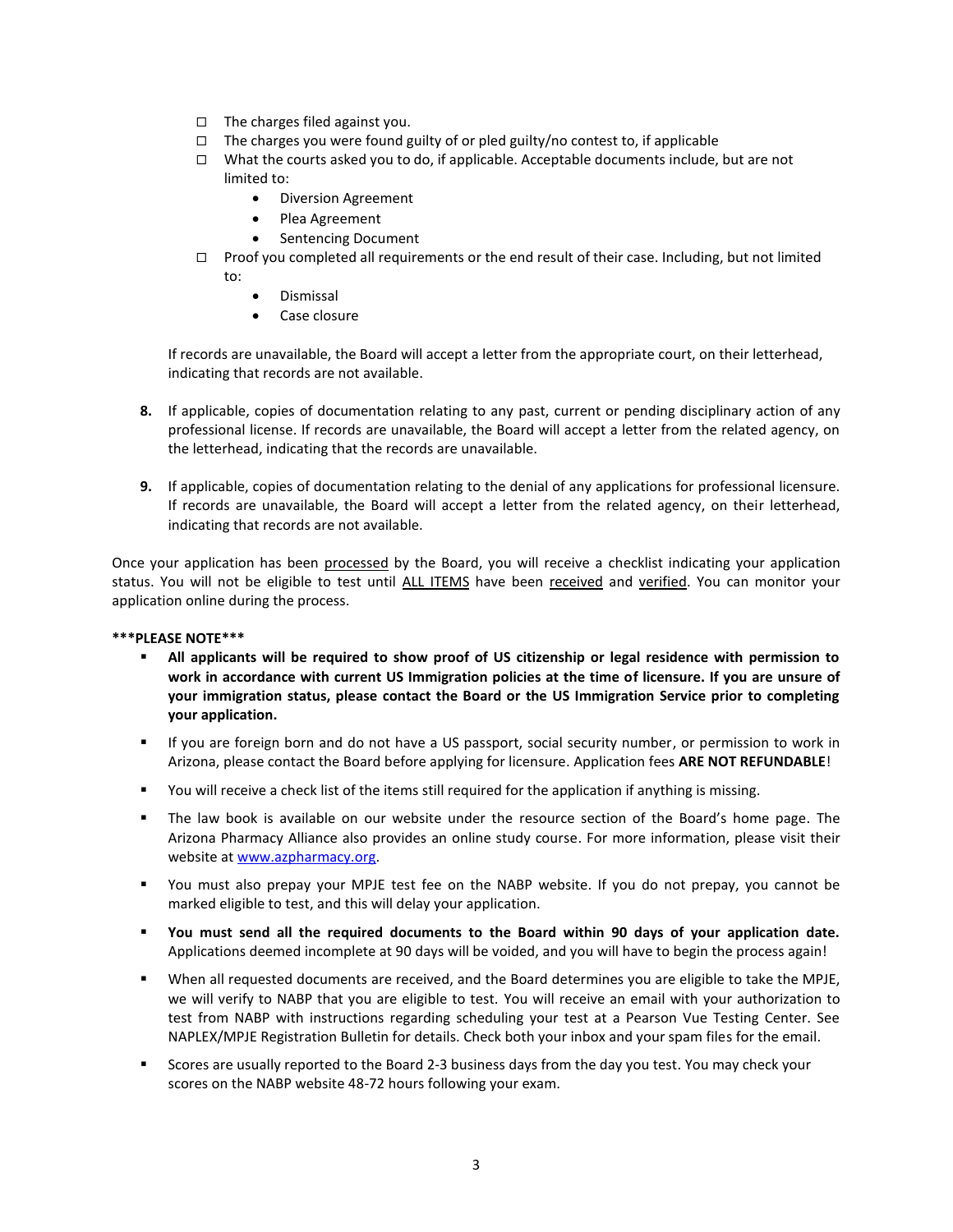- $\Box$  The charges filed against you.
- $\Box$  The charges you were found guilty of or pled guilty/no contest to, if applicable
- $\Box$  What the courts asked you to do, if applicable. Acceptable documents include, but are not limited to:
	- Diversion Agreement
	- Plea Agreement
	- Sentencing Document
- $\Box$  Proof you completed all requirements or the end result of their case. Including, but not limited to:
	- Dismissal
	- Case closure

If records are unavailable, the Board will accept a letter from the appropriate court, on their letterhead, indicating that records are not available.

- **8.** If applicable, copies of documentation relating to any past, current or pending disciplinary action of any professional license. If records are unavailable, the Board will accept a letter from the related agency, on the letterhead, indicating that the records are unavailable.
- **9.** If applicable, copies of documentation relating to the denial of any applications for professional licensure. If records are unavailable, the Board will accept a letter from the related agency, on their letterhead, indicating that records are not available.

Once your application has been processed by the Board, you will receive a checklist indicating your application status. You will not be eligible to test until ALL ITEMS have been received and verified. You can monitor your application online during the process.

## **\*\*\*PLEASE NOTE\*\*\***

- **All applicants will be required to show proof of US citizenship or legal residence with permission to work in accordance with current US Immigration policies at the time of licensure. If you are unsure of your immigration status, please contact the Board or the US Immigration Service prior to completing your application.**
- If you are foreign born and do not have a US passport, social security number, or permission to work in Arizona, please contact the Board before applying for licensure. Application fees **ARE NOT REFUNDABLE**!
- You will receive a check list of the items still required for the application if anything is missing.
- **The law book is available on our website under the resource section of the Board's home page. The** Arizona Pharmacy Alliance also provides an online study course. For more information, please visit their website a[t www.azpharmacy.org.](https://azpharmacy.org/)
- You must also prepay your MPJE test fee on the NABP website. If you do not prepay, you cannot be marked eligible to test, and this will delay your application.
- **You must send all the required documents to the Board within 90 days of your application date.** Applications deemed incomplete at 90 days will be voided, and you will have to begin the process again!
- When all requested documents are received, and the Board determines you are eligible to take the MPJE, we will verify to NABP that you are eligible to test. You will receive an email with your authorization to test from NABP with instructions regarding scheduling your test at a Pearson Vue Testing Center. See NAPLEX/MPJE Registration Bulletin for details. Check both your inbox and your spam files for the email.
- Scores are usually reported to the Board 2-3 business days from the day you test. You may check your scores on the NABP website 48-72 hours following your exam.